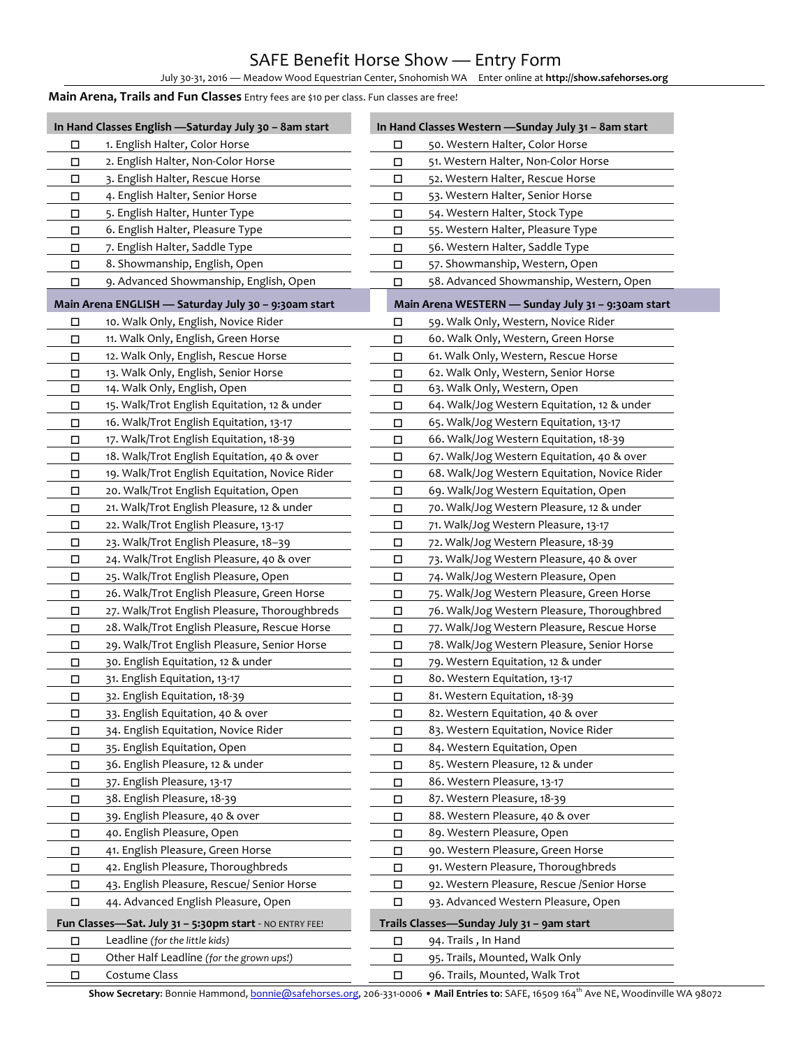# SAFE Benefit Horse Show — Entry Form

July 30-31, 2016 — Meadow Wood Equestrian Center, Snohomish WA Enter online at **http://show.safehorses.org**

**Main Arena, Trails and Fun Classes** Entry fees are \$10 per class. Fun classes are free!

| In Hand Classes English -Saturday July 30 - 8am start                                                |                                                      |        | In Hand Classes Western - Sunday July 31 - 8am start |
|------------------------------------------------------------------------------------------------------|------------------------------------------------------|--------|------------------------------------------------------|
| П                                                                                                    | 1. English Halter, Color Horse                       | П      | 50. Western Halter, Color Horse                      |
| $\Box$                                                                                               | 2. English Halter, Non-Color Horse                   | $\Box$ | 51. Western Halter, Non-Color Horse                  |
| □                                                                                                    | 3. English Halter, Rescue Horse                      | □      | 52. Western Halter, Rescue Horse                     |
| □                                                                                                    | 4. English Halter, Senior Horse                      | □      | 53. Western Halter, Senior Horse                     |
| □                                                                                                    | 5. English Halter, Hunter Type                       | □      | 54. Western Halter, Stock Type                       |
| □                                                                                                    | 6. English Halter, Pleasure Type                     | □      | 55. Western Halter, Pleasure Type                    |
| □                                                                                                    | 7. English Halter, Saddle Type                       | $\Box$ | 56. Western Halter, Saddle Type                      |
| □                                                                                                    | 8. Showmanship, English, Open                        | $\Box$ | 57. Showmanship, Western, Open                       |
| □                                                                                                    | 9. Advanced Showmanship, English, Open               | □      | 58. Advanced Showmanship, Western, Open              |
|                                                                                                      | Main Arena ENGLISH - Saturday July 30 - 9:30am start |        | Main Arena WESTERN - Sunday July 31 - 9:30am start   |
| □                                                                                                    | 10. Walk Only, English, Novice Rider                 | □      | 59. Walk Only, Western, Novice Rider                 |
| □                                                                                                    | 11. Walk Only, English, Green Horse                  | □      | 60. Walk Only, Western, Green Horse                  |
| □                                                                                                    | 12. Walk Only, English, Rescue Horse                 | $\Box$ | 61. Walk Only, Western, Rescue Horse                 |
| $\Box$                                                                                               | 13. Walk Only, English, Senior Horse                 | $\Box$ | 62. Walk Only, Western, Senior Horse                 |
| □                                                                                                    | 14. Walk Only, English, Open                         | П      | 63. Walk Only, Western, Open                         |
| □                                                                                                    | 15. Walk/Trot English Equitation, 12 & under         | П      | 64. Walk/Jog Western Equitation, 12 & under          |
| П                                                                                                    | 16. Walk/Trot English Equitation, 13-17              | □      | 65. Walk/Jog Western Equitation, 13-17               |
| □                                                                                                    | 17. Walk/Trot English Equitation, 18-39              | $\Box$ | 66. Walk/Jog Western Equitation, 18-39               |
| □                                                                                                    | 18. Walk/Trot English Equitation, 40 & over          | □      | 67. Walk/Jog Western Equitation, 40 & over           |
| □                                                                                                    | 19. Walk/Trot English Equitation, Novice Rider       | □      | 68. Walk/Jog Western Equitation, Novice Rider        |
| □                                                                                                    | 20. Walk/Trot English Equitation, Open               | □      | 69. Walk/Jog Western Equitation, Open                |
| □                                                                                                    | 21. Walk/Trot English Pleasure, 12 & under           | □      | 70. Walk/Jog Western Pleasure, 12 & under            |
| ◻                                                                                                    | 22. Walk/Trot English Pleasure, 13-17                | $\Box$ | 71. Walk/Jog Western Pleasure, 13-17                 |
| □                                                                                                    | 23. Walk/Trot English Pleasure, 18-39                | □      | 72. Walk/Jog Western Pleasure, 18-39                 |
| □                                                                                                    | 24. Walk/Trot English Pleasure, 40 & over            | П      | 73. Walk/Jog Western Pleasure, 40 & over             |
| ◻                                                                                                    | 25. Walk/Trot English Pleasure, Open                 | □      | 74. Walk/Jog Western Pleasure, Open                  |
| □                                                                                                    | 26. Walk/Trot English Pleasure, Green Horse          | $\Box$ | 75. Walk/Jog Western Pleasure, Green Horse           |
| □                                                                                                    | 27. Walk/Trot English Pleasure, Thoroughbreds        | П      | 76. Walk/Jog Western Pleasure, Thoroughbred          |
| ◻                                                                                                    | 28. Walk/Trot English Pleasure, Rescue Horse         | Д      | 77. Walk/Jog Western Pleasure, Rescue Horse          |
| П                                                                                                    | 29. Walk/Trot English Pleasure, Senior Horse         | $\Box$ | 78. Walk/Jog Western Pleasure, Senior Horse          |
| □                                                                                                    | 30. English Equitation, 12 & under                   | П      | 79. Western Equitation, 12 & under                   |
| □                                                                                                    | 31. English Equitation, 13-17                        | □      | 80. Western Equitation, 13-17                        |
| П                                                                                                    | 32. English Equitation, 18-39                        | □      | 81. Western Equitation, 18-39                        |
| □                                                                                                    | 33. English Equitation, 40 & over                    | □      | 82. Western Equitation, 40 & over                    |
| □                                                                                                    | 34. English Equitation, Novice Rider                 | □      | 83. Western Equitation, Novice Rider                 |
| П                                                                                                    | 35. English Equitation, Open                         | $\Box$ | 84. Western Equitation, Open                         |
| $\Box$                                                                                               | 36. English Pleasure, 12 & under                     | $\Box$ | 85. Western Pleasure, 12 & under                     |
| □                                                                                                    | 37. English Pleasure, 13-17                          | П      | 86. Western Pleasure, 13-17                          |
| □                                                                                                    | 38. English Pleasure, 18-39                          | □      | 87. Western Pleasure, 18-39                          |
| П                                                                                                    | 39. English Pleasure, 40 & over                      | □      | 88. Western Pleasure, 40 & over                      |
| $\Box$                                                                                               | 40. English Pleasure, Open                           | $\Box$ | 89. Western Pleasure, Open                           |
| □                                                                                                    | 41. English Pleasure, Green Horse                    | □      | 90. Western Pleasure, Green Horse                    |
| □                                                                                                    | 42. English Pleasure, Thoroughbreds                  | $\Box$ | 91. Western Pleasure, Thoroughbreds                  |
| П                                                                                                    | 43. English Pleasure, Rescue/ Senior Horse           | П      | 92. Western Pleasure, Rescue /Senior Horse           |
| □                                                                                                    | 44. Advanced English Pleasure, Open                  | □      | 93. Advanced Western Pleasure, Open                  |
| Trails Classes-Sunday July 31 - 9am start<br>Fun Classes-Sat. July 31 - 5:30pm start - NO ENTRY FEE! |                                                      |        |                                                      |
| □                                                                                                    | Leadline (for the little kids)                       | П      | 94. Trails, In Hand                                  |
| П                                                                                                    | Other Half Leadline (for the grown ups!)             | $\Box$ | 95. Trails, Mounted, Walk Only                       |
| □                                                                                                    | Costume Class                                        | П      | 96. Trails, Mounted, Walk Trot                       |

Show Secretary: Bonnie Hammond, bonnie@safehorses.org, 206-331-0006 • Mail Entries to: SAFE, 16509 164<sup>th</sup> Ave NE, Woodinville WA 98072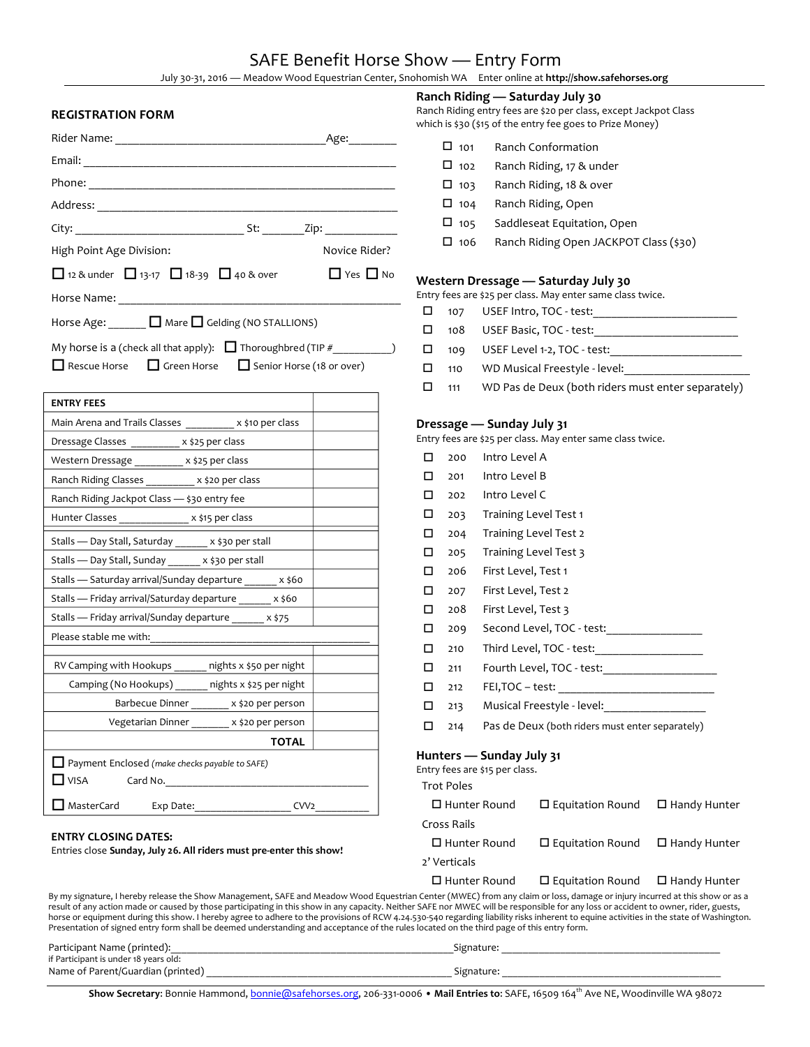# SAFE Benefit Horse Show — Entry Form

July 30-31, 2016 — Meadow Wood Equestrian Center, Snohomish WA Enter online at **http://show.safehorses.org**

### **REGISTRATION FORM**

| High Point Age Division:                                                          |  | Novice Rider? |
|-----------------------------------------------------------------------------------|--|---------------|
| $\Box$ 12 & under $\Box$ 13-17 $\Box$ 18-39 $\Box$ 40 & over $\Box$ Yes $\Box$ No |  |               |
|                                                                                   |  |               |
| Horse Age: <b>□</b> Mare Gelding (NO STALLIONS)                                   |  |               |
| My horse is a (check all that apply): $\Box$ Thoroughbred (TIP # $\Box$ )         |  |               |
| Rescue Horse   Green Horse   Senior Horse (18 or over)                            |  |               |

| <b>ENTRY FEES</b>                                        |                  |  |
|----------------------------------------------------------|------------------|--|
| Main Arena and Trails Classes _________ x \$10 per class |                  |  |
| Dressage Classes __________ x \$25 per class             |                  |  |
| Western Dressage __________ x \$25 per class             |                  |  |
| Ranch Riding Classes __________ x \$20 per class         |                  |  |
| Ranch Riding Jackpot Class - \$30 entry fee              |                  |  |
| Hunter Classes _______________ x \$15 per class          |                  |  |
| Stalls - Day Stall, Saturday ______ x \$30 per stall     |                  |  |
| Stalls - Day Stall, Sunday ______ x \$30 per stall       |                  |  |
| Stalls - Saturday arrival/Sunday departure x \$60        |                  |  |
| Stalls - Friday arrival/Saturday departure ______ x \$60 |                  |  |
| Stalls - Friday arrival/Sunday departure _____ x \$75    |                  |  |
| Please stable me with:                                   |                  |  |
|                                                          |                  |  |
| RV Camping with Hookups ______ nights x \$50 per night   |                  |  |
| Camping (No Hookups) _____ nights x \$25 per night       |                  |  |
| Barbecue Dinner _______ x \$20 per person                |                  |  |
| Vegetarian Dinner x \$20 per person                      |                  |  |
| <b>TOTAL</b>                                             |                  |  |
| Payment Enclosed (make checks payable to SAFE)           |                  |  |
| VISA Card No.                                            |                  |  |
| MasterCard Exp Date:                                     | CVV <sub>2</sub> |  |

### **ENTRY CLOSING DATES:**

Entries close **Sunday, July 26. All riders must pre-enter this show!**

## **Ranch Riding — Saturday July 30**

Ranch Riding entry fees are \$20 per class, except Jackpot Class which is \$30 (\$15 of the entry fee goes to Prize Money)

- □ 101 Ranch Conformation
- $\Box$  102 Ranch Riding, 17 & under
- $\Box$  103 Ranch Riding, 18 & over
- □ 104 Ranch Riding, Open
- $\square$  105 Saddleseat Equitation, Open
- $\Box$  106 Ranch Riding Open JACKPOT Class (\$30)

### **Western Dressage — Saturday July 30**

Entry fees are \$25 per class. May enter same class twice.

- $\Box$  107 USEF Intro, TOC test:
- □ 108 USEF Basic, TOC test:
- $\Box$  109 USEF Level 1-2, TOC test:
- $\square$  110 WD Musical Freestyle level:
- $\Box$  111 WD Pas de Deux (both riders must enter separately)

#### **Dressage — Sunday July 31**

Entry fees are \$25 per class. May enter same class twice.

| □                                                          | 200                                                                 | Intro Level A                                   |  |
|------------------------------------------------------------|---------------------------------------------------------------------|-------------------------------------------------|--|
| п                                                          | 201                                                                 | Intro Level B                                   |  |
| п                                                          | 202                                                                 | Intro Level C                                   |  |
| п                                                          | 203                                                                 | Training Level Test 1                           |  |
| п                                                          | 204                                                                 | Training Level Test 2                           |  |
| □                                                          | 205                                                                 | Training Level Test 3                           |  |
| □                                                          | 206                                                                 | First Level, Test 1                             |  |
| п                                                          | 207                                                                 | First Level, Test 2                             |  |
| п                                                          | 208                                                                 | First Level, Test 3                             |  |
| п                                                          | 209                                                                 | Second Level, TOC - test:                       |  |
| п                                                          | 210                                                                 |                                                 |  |
| Ω                                                          | 211                                                                 | Fourth Level, TOC - test:                       |  |
| п                                                          | FEI,TOC – test:<br>212<br><u> 1980 - Jan Barnett, mars et al. (</u> |                                                 |  |
| □                                                          | 213                                                                 | Musical Freestyle - level:                      |  |
| п                                                          | 214                                                                 | Pas de Deux (both riders must enter separately) |  |
| Hunters — Sunday July 31<br>Entry fees are \$15 per class. |                                                                     |                                                 |  |
| Teat Dales                                                 |                                                                     |                                                 |  |

# Trot Poles  $\square$  Hunter Round  $\square$  Equitation Round  $\square$  Handy Hunter Cross Rails  $\square$  Hunter Round  $\square$  Equitation Round  $\square$  Handy Hunter

## 2' Verticals  $\Box$  Hunter Round  $\Box$  Equitation Round  $\Box$  Handy Hunter

By my signature, I hereby release the Show Management, SAFE and Meadow Wood Equestrian Center (MWEC) from any claim or loss, damage or injury incurred at this show or as a result of any action made or caused by those participating in this show in any capacity. Neither SAFE nor MWEC will be responsible for any loss or accident to owner, rider, guests, horse or equipment during this show. I hereby agree to adhere to the provisions of RCW 4.24.530-540 regarding liability risks inherent to equine activities in the state of Washington. Presentation of signed entry form shall be deemed understanding and acceptance of the rules located on the third page of this entry form.

| Participant<br>'nrintea<br>Name<br>. .             | ાષ્ટ્રાdture.   |
|----------------------------------------------------|-----------------|
| if Participant is under 18 years<br>old.           |                 |
| Name of<br>arent/(<br>' printed<br>.Guardian<br>`` | ۱or،<br><br>، ر |

Show Secretary: Bonnie Hammond, bonnie@safehorses.org, 206-331-0006 • Mail Entries to: SAFE, 16509 164<sup>th</sup> Ave NE, Woodinville WA 98072